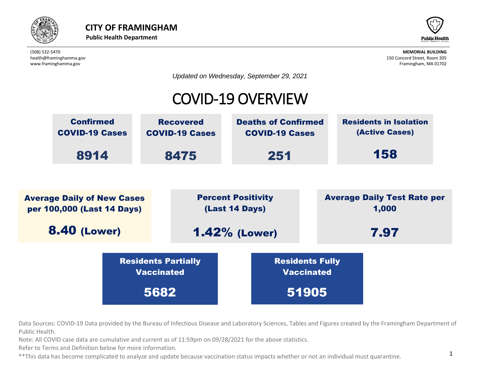



*Updated on Wednesday, September 29, 2021*

# COVID-19 OVERVIEW



Data Sources: COVID-19 Data provided by the Bureau of Infectious Disease and Laboratory Sciences, Tables and Figures created by the Framingham Department of<br>Rublic Hoalth Public Health.

lata are cumulative and current as of 11:59pm on 09/28/2021 for the above statistics. Note: All COVID case data are cumulative and current as of 11:59pm on 09/28/2021 for the above statistics.<br>Refer to Terms and Definition below for more information nd current as of 11

Refer to Terms and Definition below for more information.

nation.<br>Covert in the cover \*\*This data has become complicated to analyze and update because vaccination status impacts whether or not an individual must quarantine.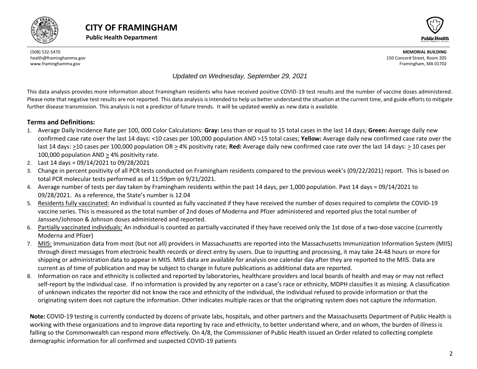



#### *Updated on Wednesday, September 29, 2021*

This data analysis provides more information about Framingham residents who have received positive COVID-19 test results and the number of vaccine doses administered. Please note that negative test results are not reported. This data analysis is intended to help us better understand the situation at the current time, and guide efforts to mitigate further disease transmission. This analysis is not a predictor of future trends. It will be updated weekly as new data is available.

#### **Terms and Definitions:**

- 1. Average Daily Incidence Rate per 100, 000 Color Calculations: **Gray:** Less than or equal to 15 total cases in the last 14 days; **Green:** Average daily new confirmed case rate over the last 14 days: <10 cases per 100,000 population AND >15 total cases; **Yellow:** Average daily new confirmed case rate over the last 14 days: >10 cases per 100,000 population OR > 4% positivity rate; **Red:** Average daily new confirmed case rate over the last 14 days: > 10 cases per 100,000 population AND > 4% positivity rate.
- 2. Last 14 days = 09/14/2021 to 09/28/2021
- 3. Change in percent positivity of all PCR tests conducted on Framingham residents compared to the previous week's (09/22/2021) report. This is based on total PCR molecular tests performed as of 11:59pm on 9/21/2021.
- 4. Average number of tests per day taken by Framingham residents within the past 14 days, per 1,000 population. Past 14 days = 09/14/2021 to 09/28/2021. As a reference, the State's number is 12.04
- 5. Residents fully vaccinated: An individual is counted as fully vaccinated if they have received the number of doses required to complete the COVID-19 vaccine series. This is measured as the total number of 2nd doses of Moderna and Pfizer administered and reported plus the total number of Janssen/Johnson & Johnson doses administered and reported.
- 6. Partially vaccinated individuals: An individual is counted as partially vaccinated if they have received only the 1st dose of a two-dose vaccine (currently Moderna and Pfizer)
- 7. MIIS: Immunization data from most (but not all) providers in Massachusetts are reported into the Massachusetts Immunization Information System (MIIS) through direct messages from electronic health records or direct entry by users. Due to inputting and processing, it may take 24-48 hours or more for shipping or administration data to appear in MIIS. MIIS data are available for analysis one calendar day after they are reported to the MIIS. Data are current as of time of publication and may be subject to change in future publications as additional data are reported.
- 8. Information on race and ethnicity is collected and reported by laboratories, healthcare providers and local boards of health and may or may not reflect self-report by the individual case. If no information is provided by any reporter on a case's race or ethnicity, MDPH classifies it as missing. A classification of unknown indicates the reporter did not know the race and ethnicity of the individual, the individual refused to provide information or that the originating system does not capture the information. Other indicates multiple races or that the originating system does not capture the information.

<span id="page-1-0"></span>**Note:** COVID-19 testing is currently conducted by dozens of private labs, hospitals, and other partners and the Massachusetts Department of Public Health is working with these organizations and to improve data reporting by race and ethnicity, to better understand where, and on whom, the burden of illness is falling so the Commonwealth can respond more effectively. On 4/8, the Commissioner of Public Health issued an Order related to collecting complete demographic information for all confirmed and suspected COVID-19 patients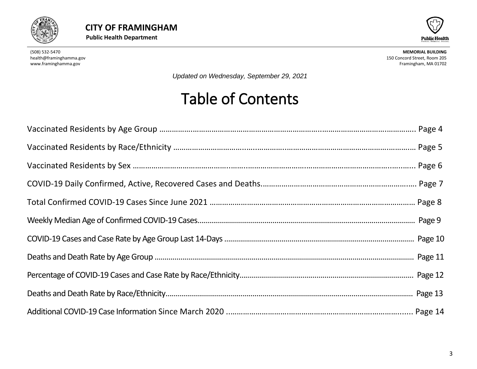



*Updated on Wednesday, September 29, 2021*

# Table of Contents

<span id="page-2-0"></span>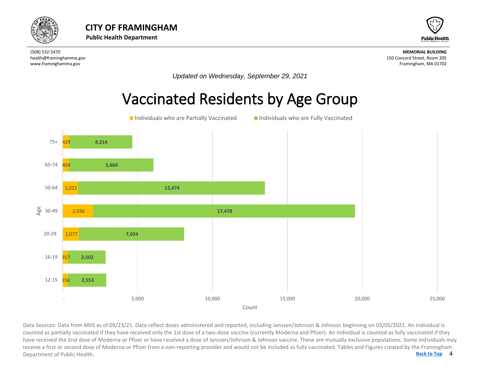



*Updated on Wednesday, September 29, 2021*

#### Vaccinated Residents by Age Group



4 Data Sources: Data from MIIS as of 09/23/21. Data reflect doses administered and reported, including Janssen/Johnson & Johnson beginning on 03/05/2021. An individual is<br>counted as partially vaccinated if they have received **[Back to Top](#page-1-0)** counted as partially vaccinated if they have received only the 1st dose of a two-dose vaccine (currently Moderna and Pfizer). An individual is counted as fully vaccinated if they have received the 2nd dose of Moderna or Pfizer or have received a dose of Janssen/Johnson & Johnson vaccine. These are mutually exclusive populations. Some individuals may receive a first or second dose of Moderna or Pfizer from a non-reporting provider and would not be included as fully vaccinated. Tables and Figures created by the Framingham Department of Public Health.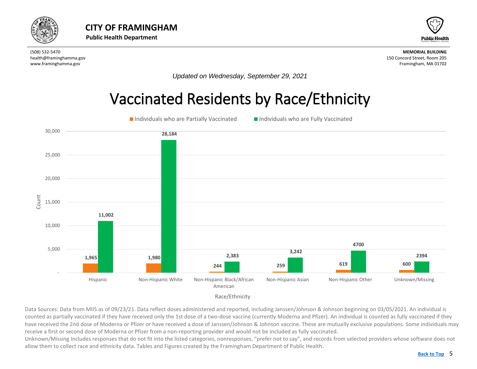<span id="page-4-0"></span>



*Updated on Wednesday, September 29, 2021*

#### Vaccinated Residents by Race/Ethnicity



Race/Ethnicity

Data Sources: Data from MIIS as of 09/23/21. Data reflect doses administered and reported, including Janssen/Johnson & Johnson beginning on 03/05/2021. An individual is counted as partially vaccinated if they have received only the 1st dose of a two-dose vaccine (currently Moderna and Pfizer). An individual is counted as fully vaccinated if they have received the 2nd dose of Moderna or Pfizer or have received a dose of Janssen/Johnson & Johnson vaccine. These are mutually exclusive populations. Some individuals may receive a first or second dose of Moderna or Pfizer from a non-reporting provider and would not be included as fully vaccinated.

Unknown/Missing Includes responses that do not fit into the listed categories, nonresponses, "prefer not to say", and records from selected providers whose software does not allow them to collect race and ethnicity data. Tables and Figures created by the Framingham Department of Public Health.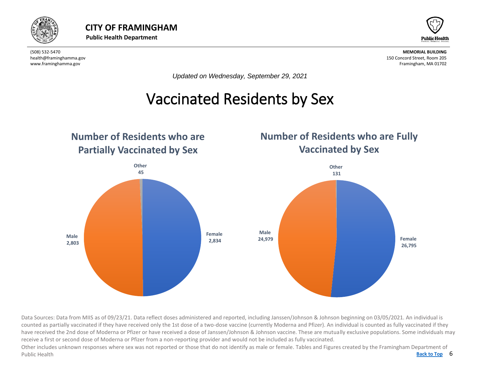



*Updated on Wednesday, September 29, 2021*

# Vaccinated Residents by Sex

<span id="page-5-0"></span>

Data Sources: Data from MIIS as of 09/23/21. Data reflect doses administered and reported, including Janssen/Johnson & Johnson beginning on 03/05/2021. An individual is counted as partially vaccinated if they have received only the 1st dose of a two-dose vaccine (currently Moderna and Pfizer). An individual is counted as fully vaccinated if they have received the 2nd dose of Moderna or Pfizer or have received a dose of Janssen/Johnson & Johnson vaccine. These are mutually exclusive populations. Some individuals may receive a first or second dose of Moderna or Pfizer from a non-reporting provider and would not be included as fully vaccinated.

Back to Top 6 Other includes unknown responses where sex was not reported or those that do not identify as male or female. Tables and Figures created by the Framingham Department of Public Health **[Back to Top](#page-1-0)**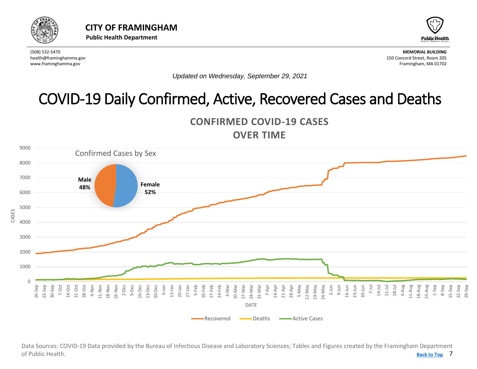<span id="page-6-0"></span>



*Updated on Wednesday, September 29, 2021*

# COVID-19 Daily Confirmed, Active, Recovered Cases and Deaths





7 **[Back to Top](#page-1-0)** Data Sources: COVID-19 Data provided by the Bureau of Infectious Disease and Laboratory Sciences; Tables and Figures created by the Framingham Department of Public Health.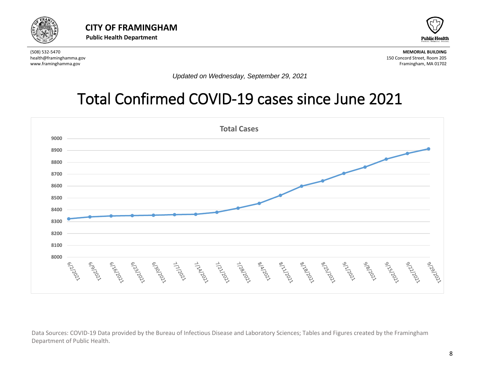



*Updated on Wednesday, September 29, 2021*

# Total Confirmed COVID-19 cases since June 2021



Data Sources: COVID-19 Data provided by the Bureau of Infectious Disease and Laboratory Sciences; Tables and Figures created by the Framingham Department of Public Health.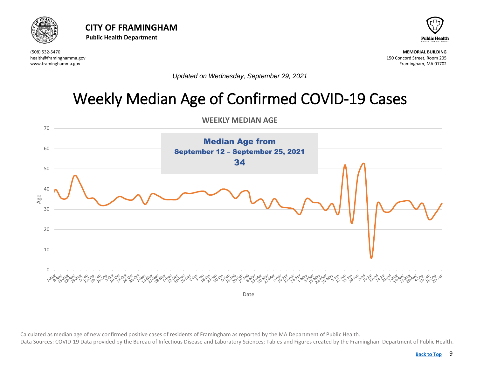



*Updated on Wednesday, September 29, 2021*

# Weekly Median Age of Confirmed COVID-19 Cases

**WEEKLY MEDIAN AGE** 

<span id="page-8-0"></span>

Calculated as median age of new confirmed positive cases of residents of Framingham as reported by the MA Department of Public Health. Data Sources: COVID-19 Data provided by the Bureau of Infectious Disease and Laboratory Sciences; Tables and Figures created by the Framingham Department of Public Health.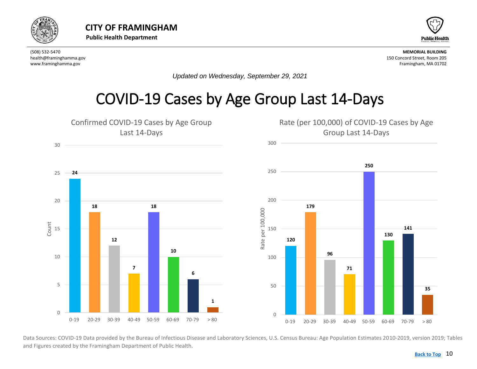<span id="page-9-0"></span>



*Updated on Wednesday, September 29, 2021*

#### COVID-19 Cases by Age Group Last 14-Days



Data Sources: COVID-19 Data provided by the Bureau of Infectious Disease and Laboratory Sciences, U.S. Census Bureau: Age Population Estimates 2010-2019, version 2019; Tables and Figures created by the Framingham Department of Public Health.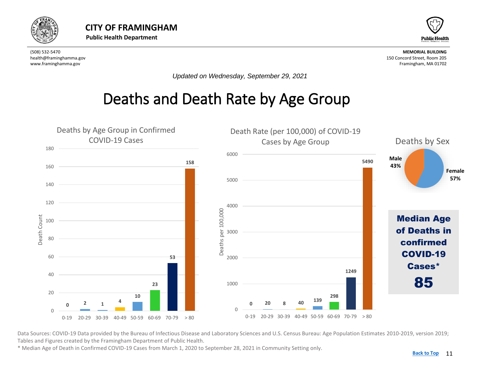<span id="page-10-0"></span>



*Updated on Wednesday, September 29, 2021*

### Deaths and Death Rate by Age Group



Data Sources: COVID-19 Data provided by the Bureau of Infectious Disease and Laboratory Sciences and U.S. Census Bureau: Age Population Estimates 2010-2019, version 2019; Tables and Figures created by the Framingham Department of Public Health.

\* Median Age of Death in Confirmed COVID-19 Cases from March 1, 2020 to September 28, 2021 in Community Setting only.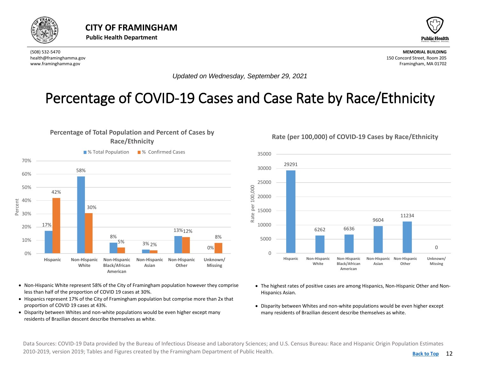<span id="page-11-0"></span>



*Updated on Wednesday, September 29, 2021*

#### Percentage of COVID-19 Cases and Case Rate by Race/Ethnicity

#### **Percentage of Total Population and Percent of Cases by Race/Ethnicity**



- Non-Hispanic White represent 58% of the City of Framingham population however they comprise less than half of the proportion of COVID 19 cases at 30%.
- Hispanics represent 17% of the City of Framingham population but comprise more than 2x that proportion of COVID 19 cases at 43%.
- Disparity between Whites and non-white populations would be even higher except many residents of Brazilian descent describe themselves as white.

**Rate (per 100,000) of COVID-19 Cases by Race/Ethnicity**



- The highest rates of positive cases are among Hispanics, Non-Hispanic Other and Non-Hispanics Asian.
- Disparity between Whites and non-white populations would be even higher except many residents of Brazilian descent describe themselves as white.

Data Sources: COVID-19 Data provided by the Bureau of Infectious Disease and Laboratory Sciences; and U.S. Census Bureau: Race and Hispanic Origin Population Estimates 2010-2019, version 2019; Tables and Figures created by the Framingham Department of Public Health.